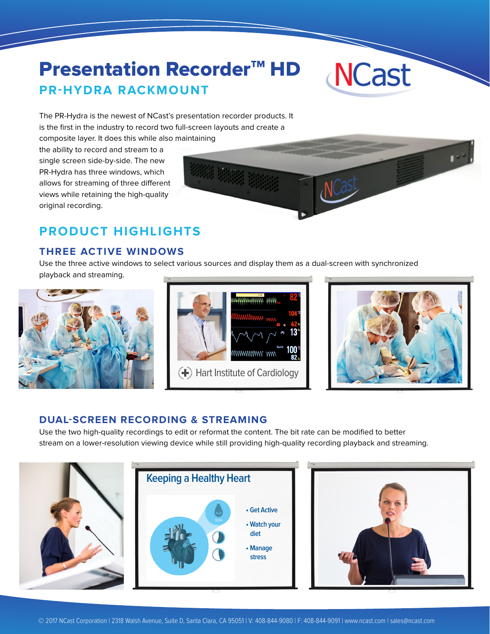# **Presentation Recorder™ HD PR-HYDRA RACKMOUNT**



The PR-Hydra is the newest of NCast's presentation recorder products. It is the first in the industry to record two full-screen layouts and create a composite layer. It does this while also maintaining

the ability to record and stream to a single screen side-by-side. The new PR-Hydra has three windows, which allows for streaming of three different views while retaining the high-quality original recording.

# **PRODUCT HIGHLIGHTS**

## **THREE ACTIVE WINDOWS**

Use the three active windows to select various sources and display them as a dual-screen with synchronized playback and streaming.







### **DUAL-SCREEN RECORDING & STREAMING**

Use the two high-quality recordings to edit or reformat the content. The bit rate can be modified to better stream on a lower-resolution viewing device while still providing high-quality recording playback and streaming.